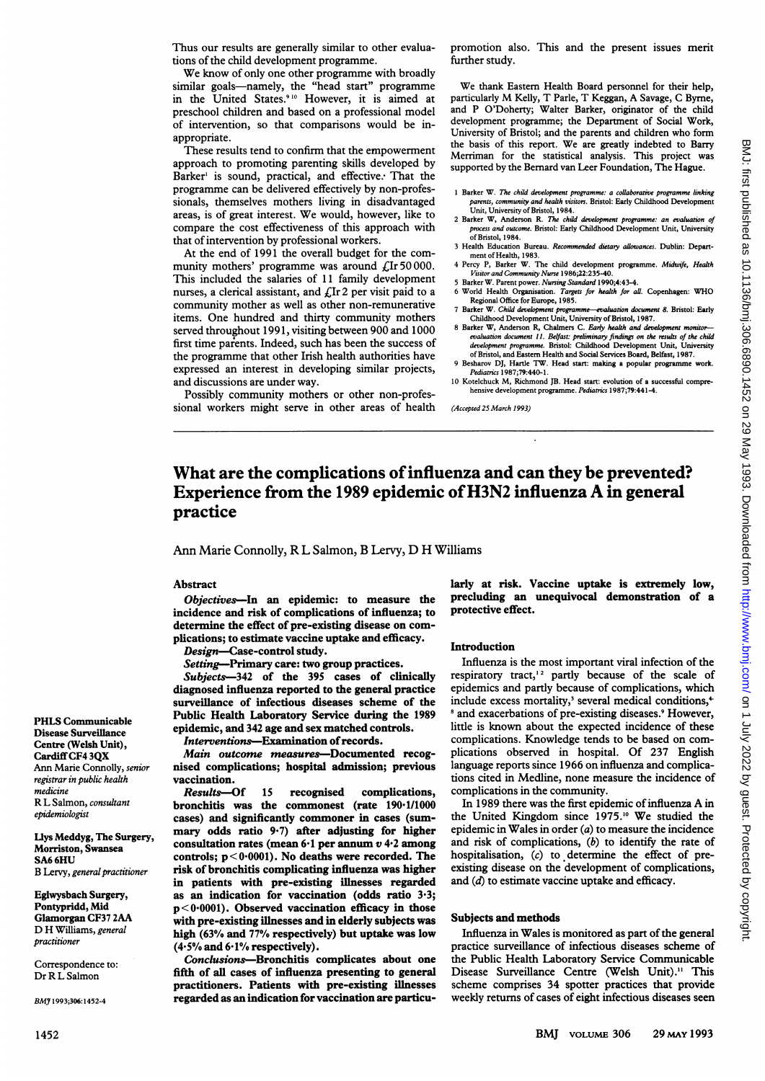Thus our results are generally similar to other evaluations of the child development programme.

We know of only one other programme with broadly similar goals-namely, the "head start" programme in the United States.<sup>910</sup> However, it is aimed at preschool children and based on a professional model of intervention, so that comparisons would be inappropriate.

These results tend to confirm that the empowerment approach to promoting parenting skills developed by Barker' is sound, practical, and effective. That the programme can be delivered effectively by non-professionals, themselves mothers living in disadvantaged areas, is of great interest. We would, however, like to compare the cost effectiveness of this approach with that of intervention by professional workers.

At the end of 1991 the overall budget for the community mothers' programme was around  $\mathcal{L}$ Ir 50000. This included the salaries of 11 family development nurses, a clerical assistant, and  $f$ Ir 2 per visit paid to a community mother as well as other non-remunerative items. One hundred and thirty community mothers served throughout 1991, visiting between 900 and 1000 first time parents. Indeed, such has been the success of the programme that other Irish health authorities have expressed an interest in developing similar projects, and discussions are under way.

Possibly community mothers or other non-professional workers might serve in other areas of health promotion also. This and the present issues merit further study.

We thank Eastern Health Board personnel for their help, particularly M Kelly, T Parle, T Keggan, A Savage, <sup>C</sup> Byrne, and P O'Doherty; Walter Barker, originator of the child development programme; the Department of Social Work, University of Bristol; and the parents and children who form the basis of this report. We are greatly indebted to Barry Merriman for the statistical analysis. This project was supported by the Bernard van Leer Foundation, The Hague.

- 1 Barker W. *The child development programme: a collaborative programme linking*<br>parents, community and health visitors. Bristol: Early Childhood Development<br>Unit, University of Bristol, 1984.
- 2 Barker W, Anderson R. *The child development programme: an evaluation of* process and outcome. Bristol: Early Childhood Development Unit, University of Bristol, 1984.
- 3 Health Education Bureau. Recommended dietary allowances. Dublin: Depart-
- ment of Health, 1983.<br>4 Percy P, Barker W. The child development programme. Midwife, Health Visitor and Community Nurse 1986;22:235-40.
- 5 Barker W. Parent power. *Nursing Standard* 1990;4:43-4.<br>6 World Health O<mark>rga</mark>nisation. *Targets for health for all*. Copenhagen: WHC
- Regional Office for Europe, 1985.
- 7 Barker W. Child develpment programme-evaluation document 8. Bristol: Early Childhood Development Unit, University of Bristol, 1987.
- Barker W, Anderson R, Chalmers C. Early health and devel evaluation document 11. Belfast: preliminary findings on the results of the child<br>development programme. Bristol: Childhood Development Unit, University of Bristol, and Eastem Health and Social Services Board, Belfast, 1987.
- 9 Besharov DJ, Hartle TW. Head start: maling <sup>a</sup> popular programme work. Pediatrics 1987;79:440-1.
- 10 Kotelchuck M, Richmond JB. Head start: evolution of a successful comprehensive development programme. Pediatrics 1987;79:441-4.

(Accepted 25 March 1993)

# What are the complications of influenza and can they be prevented? Experience from the 1989 epidemic of H3N2 influenza A in general practice

Ann Marie Connolly, R L Salmon, B Lervy, D H Williams

## Abstract

Objectives-In an epidemic: to measure the incidence and risk of complications of influenza; to determine the effect of pre-existing disease on complications; to estimate vaccine uptake and efficacy.

Design-Case-control study.

Setting-Primary care: two group practices.

Subjects-342 of the 395 cases of clinically diagnosed influenza reported to the general practice surveillance of infectious diseases scheme of the Public Health Laboratory Service during the 1989 epidemic, and 342 age and sex matched controls.

Interventions-Examination of records.

Main outcome measures-Documented recognised complications; hospital admission; previous vaccination.

Results-Of 15 recognised complications, bronchitis was the commonest (rate 190·1/1000 cases) and significantly commoner in cases (summary odds ratio 9.7) after adjusting for higher consultation rates (mean  $6·1$  per annum  $v$  4 $·2$  among controls;  $p < 0.0001$ ). No deaths were recorded. The risk of bronchitis complicating influenza was higher in patients with pre-existing illnesses regarded as an indication for vaccination (odds ratio 3-3;  $p < 0.0001$ ). Observed vaccination efficacy in those with pre-existing illnesses and in elderly subjects was high (63% and 77% respectively) but uptake was low (4.5% and 6/1% respectively).

Conclusions-Bronchitis complicates about one fifth of all cases of influenza presenting to general practitioners. Patients with pre-existing illnesses regarded as an indication for vaccination are particularly at risk. Vaccine uptake is extremely low, precluding an unequivocal demonstration of a protective effect.

#### Introduction

Influenza is the most important viral infection of the respiratory tract,<sup>12</sup> partly because of the scale of epidemics and partly because of complications, which include excess mortality,<sup>3</sup> several medical conditions,<sup>4</sup> <sup>8</sup> and exacerbations of pre-existing diseases.<sup>9</sup> However, little is known about the expected incidence of these complications. Knowledge tends to be based on complications observed in hospital. Of 237 English language reports since 1966 on influenza and complications cited in Medline, none measure the incidence of complications in the community.

In <sup>1989</sup> there was the first epidemic of influenza A in the United Kingdom since 1975.<sup>10</sup> We studied the epidemic in Wales in order (a) to measure the incidence and risk of complications,  $(b)$  to identify the rate of hospitalisation, (c) to determine the effect of preexisting disease on the development of complications, and (d) to estimate vaccine uptake and efficacy.

#### Subjects and methods

Influenza in Wales is monitored as part of the general practice surveillance of infectious diseases scheme of the Public Health Laboratory Service Communicable Disease Surveillance Centre (Welsh Unit)." This scheme comprises 34 spotter practices that provide weekly retums of cases of eight infectious diseases seen

PHLS Communicable Disease Surveillance Centre (Welsh Unit), Cardiff CF4 3QX Ann Marie Connolly, senior registrar in public health medicine R L Salmon, consultant epidemiologist

### Llys Meddyg, The Surgery, Morriston, Swansea SA6 6HU

B Lervy, general practitioner

Eglwysbach Surgery, Pontypridd, Mid Glamorgan CF37 2AA D H Williams, general practitioner

Correspondence to: Dr R L Salmon

BMJ 1993;306:1452-4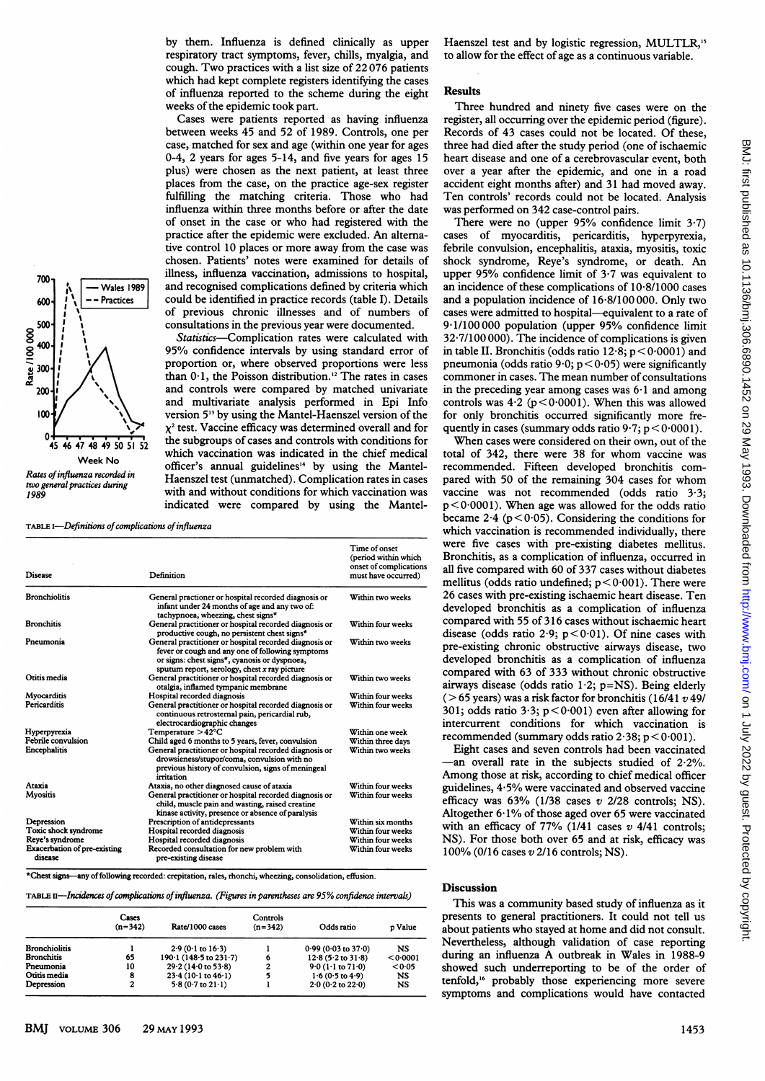by them. Influenza is defined clinically as upper respiratory tract symptoms, fever, chills, myalgia, and cough. Two practices with <sup>a</sup> list size of 22 076 patients which had kept complete registers identifying the cases of influenza reported to the scheme during the eight weeks of the epidemic took part.

Cases were patients reported as having influenza between weeks 45 and 52 of 1989. Controls, one per case, matched for sex and age (within one year for ages 0-4, 2 years for ages 5-14, and five years for ages 15 plus) were chosen as the next patient, at least three places from the case, on the practice age-sex register fulfilling the matching criteria. Those who had influenza within three months before or after the date of onset in the case or who had registered with the practice after the epidemic were excluded. An altemative control 10 places or more away from the case was chosen. Patients' notes were examined for details of illness, influenza vaccination, admissions to hospital,  $\begin{array}{c} \begin{array}{c} \text{700} \\ \text{700} \\ \text{700} \end{array} \\ \begin{array}{c} \text{701} \\ \text{702} \\ \text{703} \end{array} \\ \begin{array}{c} \text{701} \\ \text{702} \\ \text{703} \end{array} \\ \begin{array}{c} \text{701} \\ \text{704} \\ \text{705} \end{array} \\ \begin{array}{c} \text{706} \\ \text{706} \\ \text{708} \end{array} \\ \begin{array}{c} \text{708} \\ \text{708} \end{array} \\ \begin{array}{$ 600  $\left| \begin{array}{c} i \\ j \end{array} \right|$  --Practices  $\left| \begin{array}{c} \text{could be identified in practice records (table I). Details} \end{array} \right|$ of previous chronic illnesses and of numbers of 500  $\frac{1}{1}$   $\frac{1}{1}$  consultations in the previous year were documented.

 $\begin{array}{c|c|c|c|c|c} \hline \end{array}$  Statistics-Complication rates were calculated with 95% confidence intervals by using standard error of  $\frac{1}{300}$   $\frac{1}{1}$   $\frac{1}{200}$   $\frac{1}{200}$  proportion or, where observed proportions were less than  $0.1$ , the Poisson distribution.<sup>12</sup> The rates in cases  $200 \frac{1}{1}$   $\sqrt{2}$ and multivariate analysis performed in Epi Info  $100 \frac{1}{2}$  version 5<sup>13</sup> by using the Mantel-Haenszel version of the  $\chi^2$  test. Vaccine efficacy was determined overall and for<br>45 46 47 48 49 50 51 52<br>the subgroups of cases and controls with conditions for the subgroups of cases and controls with conditions for which vaccination was indicated in the chief medical Week No officer's annual guidelines<sup>14</sup> by using the Mantel-<br>Rates of influenza recorded in the Haenszel test (unmatched). Complication rates in cases with and without conditions for which vaccination was indicated were compared by using the Mantel-

two general practices during<br>1989

Rate / 100 000

TABLE I-Definitions of complications of influenza

| Disease                                 | Definition                                                                                                                                                                                                               | Time of onset<br>(period within which<br>onset of complications<br>must have occurred)<br>Within two weeks |  |
|-----------------------------------------|--------------------------------------------------------------------------------------------------------------------------------------------------------------------------------------------------------------------------|------------------------------------------------------------------------------------------------------------|--|
| <b>Bronchiolitis</b>                    | General practioner or hospital recorded diagnosis or<br>infant under 24 months of age and any two of:<br>tachypnoea, wheezing, chest signs*                                                                              |                                                                                                            |  |
| <b>Bronchitis</b>                       | General practitioner or hospital recorded diagnosis or<br>productive cough, no persistent chest signs*                                                                                                                   | Within four weeks                                                                                          |  |
| Pneumonia                               | General practitioner or hospital recorded diagnosis or<br>fever or cough and any one of following symptoms<br>or signs: chest signs <sup>*</sup> , cyanosis or dyspnoea,<br>sputum report, serology, chest x ray picture | Within two weeks                                                                                           |  |
| Otitis media                            | General practitioner or hospital recorded diagnosis or<br>otalgia, inflamed tympanic membrane                                                                                                                            | Within two weeks                                                                                           |  |
| Myocarditis                             | Hospital recorded diagnosis                                                                                                                                                                                              | Within four weeks                                                                                          |  |
| Pericarditis                            | General practitioner or hospital recorded diagnosis or<br>continuous retrosternal pain, pericardial rub,<br>electrocardiographic changes                                                                                 | Within four weeks                                                                                          |  |
| Hyperpyrexia                            | Temperature >42°C                                                                                                                                                                                                        | Within one week                                                                                            |  |
| Febrile convulsion                      | Child aged 6 months to 5 years, fever, convulsion                                                                                                                                                                        | Within three days                                                                                          |  |
| Encephalitis                            | General practitioner or hospital recorded diagnosis or<br>drowsieness/stupor/coma, convulsion with no<br>previous history of convulsion, signs of meningeal<br>irritation                                                | Within two weeks                                                                                           |  |
| Ataxia                                  | Ataxia, no other diagnosed cause of ataxia                                                                                                                                                                               | Within four weeks                                                                                          |  |
| Myositis                                | General practitioner or hospital recorded diagnosis or<br>child, muscle pain and wasting, raised creatine<br>kinase activity, presence or absence of paralysis                                                           | Within four weeks                                                                                          |  |
| Depression                              | Prescription of antidepressants                                                                                                                                                                                          | Within six months                                                                                          |  |
| Toxic shock syndrome                    | Hospital recorded diagnosis                                                                                                                                                                                              | Within four weeks                                                                                          |  |
| Reye's syndrome                         | Hospital recorded diagnosis                                                                                                                                                                                              | Within four weeks                                                                                          |  |
| Exacerbation of pre-existing<br>disease | Recorded consultation for new problem with<br>pre-existing disease                                                                                                                                                       | Within four weeks                                                                                          |  |

\*Chest signs-any offollowing recorded: crepitation, rales, rhonchi, wheezing, consolidation, effusion.

TABLE II—Incidences of complications of influenza. (Figures in parentheses are 95% confidence intervals)

|                      | Cases<br>$(n=342)$ | Rate/1000 cases                                | Controls<br>$(n=342)$ | Odds ratio                    | p Value   |
|----------------------|--------------------|------------------------------------------------|-----------------------|-------------------------------|-----------|
| <b>Bronchiolitis</b> |                    | $2.9(0.1 \text{ to } 16.3)$                    |                       | $0.99(0.03 \text{ to } 37.0)$ | NS        |
| <b>Bronchitis</b>    | 65                 | 190 $\cdot$ 1 (148 $\cdot$ 5 to 231 $\cdot$ 7) |                       | $12.8(5.2 \text{ to } 31.8)$  | 0.0001    |
| Pneumonia            | 10                 | $29.2(14.0 \text{ to } 53.8)$                  |                       | $9.0(1.1 \text{ to } 71.0)$   | < 0.05    |
| Otitis media         | 8                  | $23.4(10.1 \text{ to } 46.1)$                  |                       | $1.6(0.5 \text{ to } 4.9)$    | NS        |
| Depression           | 2                  | $5.8(0.7 \text{ to } 21.1)$                    |                       | $2.0(0.2 \text{ to } 22.0)$   | <b>NS</b> |

Haenszel test and by logistic regression, MULTLR,<sup>15</sup> to allow for the effect of age as a continuous variable.

# Results

Three hundred and ninety five cases were on the register, all occurring over the epidemic period (figure). Records of 43 cases could not be located. Of these, three had died after the study period (one of ischaemic heart disease and one of a cerebrovascular event, both over a year after the epidemic, and one in a road accident eight months after) and 31 had moved away. Ten controls' records could not be located. Analysis was performed on 342 case-control pairs.

There were no (upper  $95%$  confidence limit  $3.7$ ) cases of myocarditis, pericarditis, hyperpyrexia, febrile convulsion, encephalitis, ataxia, myositis, toxic shock syndrome, Reye's syndrome, or death. An upper 95% confidence limit of 3-7 was equivalent to an incidence of these complications of 10-8/1000 cases and a population incidence of 16 8/100 000. Only two cases were admitted to hospital-equivalent to a rate of 9-1/100000 population (upper 95% confidence limit  $32 \cdot 7/100\,000$ . The incidence of complications is given in table II. Bronchitis (odds ratio  $12.8$ ;  $p < 0.0001$ ) and pneumonia (odds ratio 9.0;  $p < 0.05$ ) were significantly commoner in cases. The mean number of consultations in the preceding year among cases was  $6·1$  and among controls was  $4.2$  ( $p < 0.0001$ ). When this was allowed for only bronchitis occurred significantly more frequently in cases (summary odds ratio  $9.7$ ;  $p < 0.0001$ ).

When cases were considered on their own, out of the total of 342, there were 38 for whom vaccine was recommended. Fifteen developed bronchitis compared with 50 of the remaining 304 cases for whom vaccine was not recommended (odds ratio 3-3;  $p < 0.0001$ ). When age was allowed for the odds ratio became 2.4 ( $p < 0.05$ ). Considering the conditions for which vaccination is recommended individually, there were five cases with pre-existing diabetes mellitus. Bronchitis, as a complication of influenza, occurred in all five compared with 60 of 337 cases without diabetes mellitus (odds ratio undefined;  $p < 0.001$ ). There were 26 cases with pre-existing ischaemic heart disease. Ten developed bronchitis as a complication of influenza compared with 55 of 316 cases without ischaemic heart disease (odds ratio 2.9;  $p < 0.01$ ). Of nine cases with pre-existing chronic obstructive airways disease, two developed bronchitis as a complication of influenza compared with 63 of 333 without chronic obstructive airways disease (odds ratio  $1.2$ ; p=NS). Being elderly ( $>65$  years) was a risk factor for bronchitis (16/41  $v$  49/ 301; odds ratio 3.3;  $p < 0.001$ ) even after allowing for intercurrent conditions for which vaccination is recommended (summary odds ratio  $2.38$ ;  $p < 0.001$ ).

Eight cases and seven controls had been vaccinated -an overall rate in the subjects studied of 2-2%. Among those at risk, according to chief medical officer guidelines,  $4.5\%$  were vaccinated and observed vaccine efficacy was  $63\%$  (1/38 cases v 2/28 controls; NS). Altogether  $6.1\%$  of those aged over 65 were vaccinated with an efficacy of 77% (1/41 cases  $v$  4/41 controls; NS). For those both over 65 and at risk, efficacy was 100% (0/16 cases v 2/16 controls; NS).

## Discussion

This was a community based study of influenza as it presents to general practitioners. It could not tell us about patients who stayed at home and did not consult. Nevertheless, although validation of case reporting during an influenza A outbreak in Wales in 1988-9 showed such underreporting to be of the order of tenfold,'6 probably those experiencing more severe symptoms and complications would have contacted